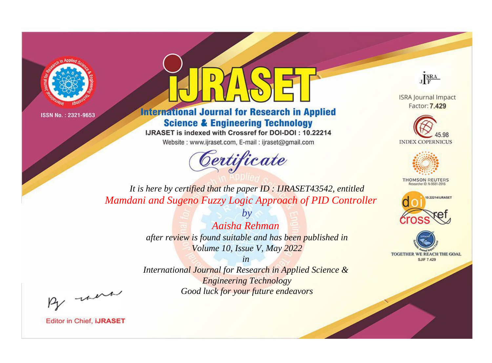



**International Journal for Research in Applied Science & Engineering Technology** 

IJRASET is indexed with Crossref for DOI-DOI: 10.22214

Website: www.ijraset.com, E-mail: ijraset@gmail.com



JERA

**ISRA Journal Impact** Factor: 7.429





**THOMSON REUTERS** 



TOGETHER WE REACH THE GOAL **SJIF 7.429** 

*It is here by certified that the paper ID : IJRASET43542, entitled Mamdani and Sugeno Fuzzy Logic Approach of PID Controller*

> *Aaisha Rehman after review is found suitable and has been published in Volume 10, Issue V, May 2022*

*by*

*in* 

*International Journal for Research in Applied Science & Engineering Technology Good luck for your future endeavors*

By morn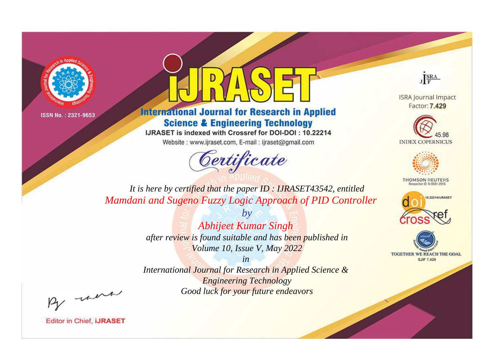



**International Journal for Research in Applied Science & Engineering Technology** 

IJRASET is indexed with Crossref for DOI-DOI: 10.22214

Website: www.ijraset.com, E-mail: ijraset@gmail.com



JERA

**ISRA Journal Impact** Factor: 7,429





**THOMSON REUTERS** 



TOGETHER WE REACH THE GOAL **SJIF 7.429** 

It is here by certified that the paper ID: IJRASET43542, entitled Mamdani and Sugeno Fuzzy Logic Approach of PID Controller

> $b\nu$ **Abhijeet Kumar Singh** after review is found suitable and has been published in Volume 10, Issue V, May 2022

 $in$ International Journal for Research in Applied Science & **Engineering Technology** Good luck for your future endeavors

By morn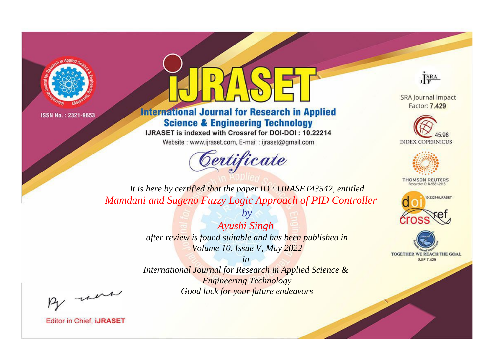



**International Journal for Research in Applied Science & Engineering Technology** 

IJRASET is indexed with Crossref for DOI-DOI: 10.22214

Website: www.ijraset.com, E-mail: ijraset@gmail.com



JERA

**ISRA Journal Impact** Factor: 7.429





**THOMSON REUTERS** 



TOGETHER WE REACH THE GOAL **SJIF 7.429** 

*It is here by certified that the paper ID : IJRASET43542, entitled Mamdani and Sugeno Fuzzy Logic Approach of PID Controller*

> *Ayushi Singh after review is found suitable and has been published in Volume 10, Issue V, May 2022*

*by*

*in* 

*International Journal for Research in Applied Science & Engineering Technology Good luck for your future endeavors*

By morn